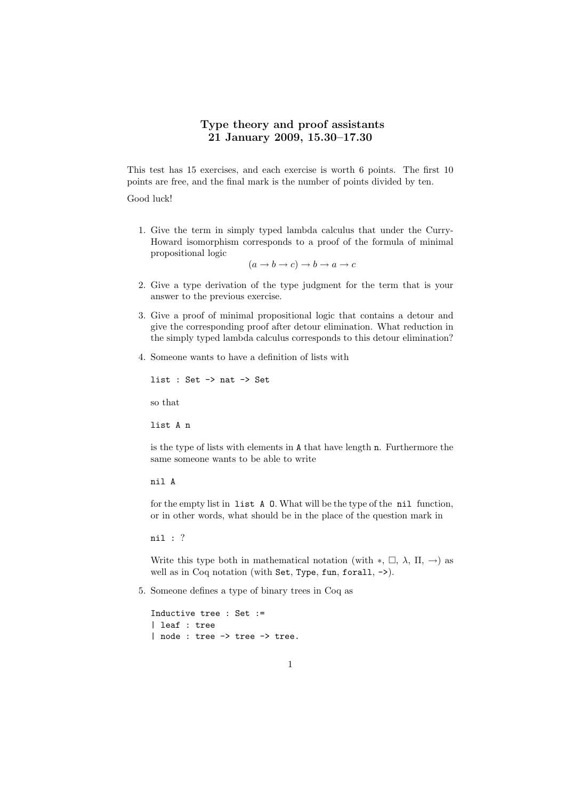## Type theory and proof assistants 21 January 2009, 15.30–17.30

This test has 15 exercises, and each exercise is worth 6 points. The first 10 points are free, and the final mark is the number of points divided by ten.

Good luck!

1. Give the term in simply typed lambda calculus that under the Curry-Howard isomorphism corresponds to a proof of the formula of minimal propositional logic

 $(a \to b \to c) \to b \to a \to c$ 

- 2. Give a type derivation of the type judgment for the term that is your answer to the previous exercise.
- 3. Give a proof of minimal propositional logic that contains a detour and give the corresponding proof after detour elimination. What reduction in the simply typed lambda calculus corresponds to this detour elimination?
- 4. Someone wants to have a definition of lists with

```
list : Set -> nat -> Set
so that
list A n
```
is the type of lists with elements in A that have length n. Furthermore the same someone wants to be able to write

nil A

for the empty list in list A O. What will be the type of the nil function, or in other words, what should be in the place of the question mark in

nil : ?

Write this type both in mathematical notation (with  $*, \Box, \lambda, \Pi, \rightarrow$ ) as well as in Coq notation (with Set, Type, fun, forall, ->).

5. Someone defines a type of binary trees in Coq as

Inductive tree : Set := | leaf : tree | node : tree -> tree -> tree.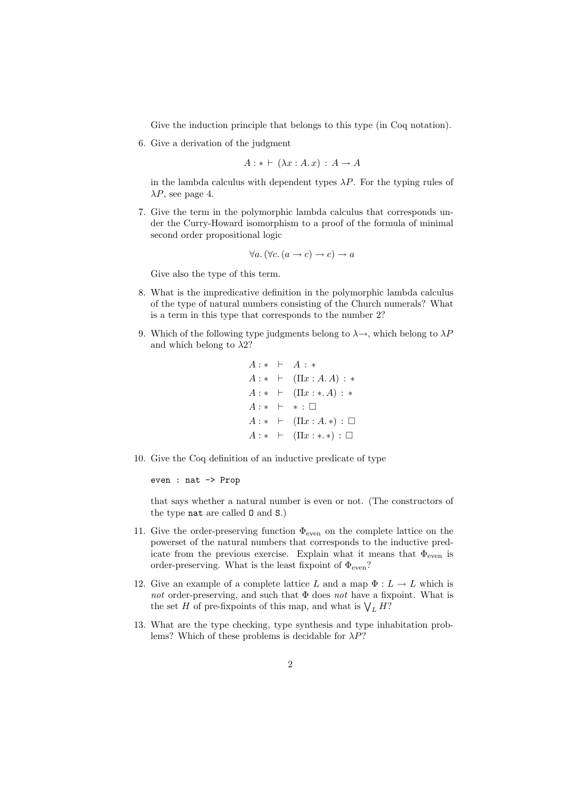Give the induction principle that belongs to this type (in Coq notation).

6. Give a derivation of the judgment

 $A: * \vdash (\lambda x:A.x): A \rightarrow A$ 

in the lambda calculus with dependent types  $\lambda P$ . For the typing rules of  $\lambda P$ , see page 4.

7. Give the term in the polymorphic lambda calculus that corresponds under the Curry-Howard isomorphism to a proof of the formula of minimal second order propositional logic

$$
\forall a. (\forall c. (a \rightarrow c) \rightarrow c) \rightarrow a
$$

Give also the type of this term.

- 8. What is the impredicative definition in the polymorphic lambda calculus of the type of natural numbers consisting of the Church numerals? What is a term in this type that corresponds to the number 2?
- 9. Which of the following type judgments belong to  $\lambda \rightarrow$ , which belong to  $\lambda P$ and which belong to  $\lambda$ 2?

```
A : * + A : *A: * \vdash (\Pi x:A.A): *A: * \vdash (\Pi x : * A) : *A: * + * : \BoxA: * \vdash (\Pi x:A. *) : \BoxA: * \vdash (\Pi x: *.*): \Box
```
10. Give the Coq definition of an inductive predicate of type

even : nat -> Prop

that says whether a natural number is even or not. (The constructors of the type nat are called O and S.)

- 11. Give the order-preserving function  $\Phi_{\text{even}}$  on the complete lattice on the powerset of the natural numbers that corresponds to the inductive predicate from the previous exercise. Explain what it means that  $\Phi_{\text{even}}$  is order-preserving. What is the least fixpoint of  $\Phi_{\rm even} ?$
- 12. Give an example of a complete lattice L and a map  $\Phi: L \to L$  which is not order-preserving, and such that  $\Phi$  does not have a fixpoint. What is the set H of pre-fixpoints of this map, and what is  $V_L H$ ?
- 13. What are the type checking, type synthesis and type inhabitation problems? Which of these problems is decidable for  $\lambda P$ ?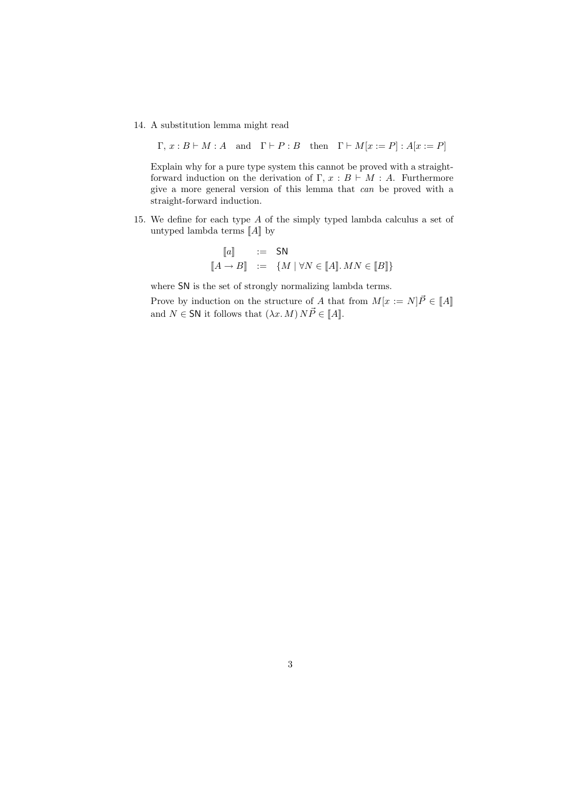14. A substitution lemma might read

 $\Gamma, x : B \vdash M : A$  and  $\Gamma \vdash P : B$  then  $\Gamma \vdash M[x := P] : A[x := P]$ 

Explain why for a pure type system this cannot be proved with a straightforward induction on the derivation of  $\Gamma$ ,  $x : B \vdash M : A$ . Furthermore give a more general version of this lemma that can be proved with a straight-forward induction.

15. We define for each type A of the simply typed lambda calculus a set of untyped lambda terms  $\llbracket A \rrbracket$  by

$$
\begin{aligned}\n[a] & \quad := \quad \mathsf{SN} \\
[A \to B] & \quad := \quad \{M \mid \forall N \in [A].\, MN \in [B]\}\n\end{aligned}
$$

where SN is the set of strongly normalizing lambda terms.

Prove by induction on the structure of A that from  $M[x := N]\vec{P} \in \llbracket A \rrbracket$ and  $N \in SN$  it follows that  $(\lambda x. M) N \vec{P} \in [A]$ .